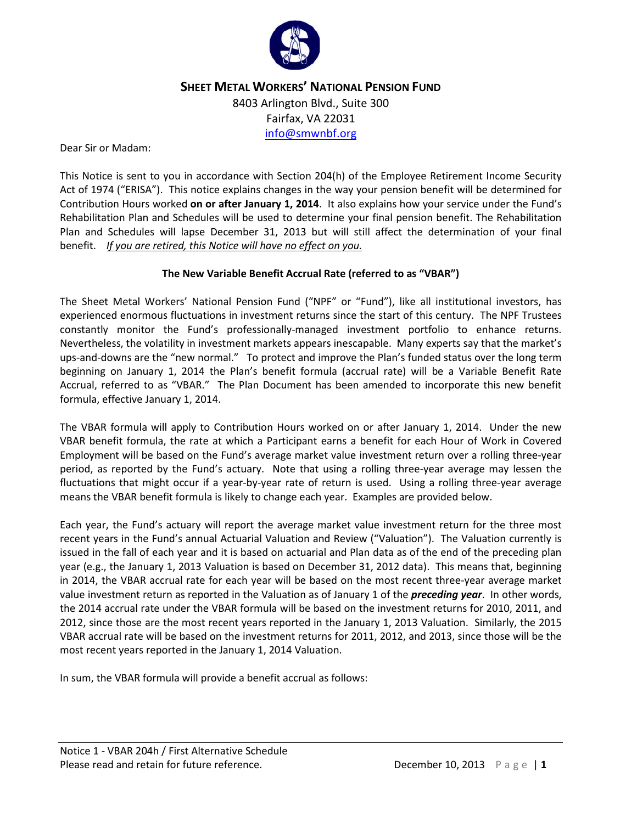

# **SHEET METAL WORKERS' NATIONAL PENSION FUND**

8403 Arlington Blvd., Suite 300 Fairfax, VA 22031 [info@smwnbf.org](mailto:info@smwnbf.org)

Dear Sir or Madam:

This Notice is sent to you in accordance with Section 204(h) of the Employee Retirement Income Security Act of 1974 ("ERISA"). This notice explains changes in the way your pension benefit will be determined for Contribution Hours worked **on or after January 1, 2014**. It also explains how your service under the Fund's Rehabilitation Plan and Schedules will be used to determine your final pension benefit. The Rehabilitation Plan and Schedules will lapse December 31, 2013 but will still affect the determination of your final benefit. *If you are retired, this Notice will have no effect on you.* 

### **The New Variable Benefit Accrual Rate (referred to as "VBAR")**

The Sheet Metal Workers' National Pension Fund ("NPF" or "Fund"), like all institutional investors, has experienced enormous fluctuations in investment returns since the start of this century. The NPF Trustees constantly monitor the Fund's professionally-managed investment portfolio to enhance returns. Nevertheless, the volatility in investment markets appears inescapable. Many experts say that the market's ups-and-downs are the "new normal." To protect and improve the Plan's funded status over the long term beginning on January 1, 2014 the Plan's benefit formula (accrual rate) will be a Variable Benefit Rate Accrual, referred to as "VBAR." The Plan Document has been amended to incorporate this new benefit formula, effective January 1, 2014.

The VBAR formula will apply to Contribution Hours worked on or after January 1, 2014. Under the new VBAR benefit formula, the rate at which a Participant earns a benefit for each Hour of Work in Covered Employment will be based on the Fund's average market value investment return over a rolling three-year period, as reported by the Fund's actuary. Note that using a rolling three-year average may lessen the fluctuations that might occur if a year-by-year rate of return is used. Using a rolling three-year average means the VBAR benefit formula is likely to change each year. Examples are provided below.

Each year, the Fund's actuary will report the average market value investment return for the three most recent years in the Fund's annual Actuarial Valuation and Review ("Valuation"). The Valuation currently is issued in the fall of each year and it is based on actuarial and Plan data as of the end of the preceding plan year (e.g., the January 1, 2013 Valuation is based on December 31, 2012 data). This means that, beginning in 2014, the VBAR accrual rate for each year will be based on the most recent three-year average market value investment return as reported in the Valuation as of January 1 of the *preceding year*. In other words, the 2014 accrual rate under the VBAR formula will be based on the investment returns for 2010, 2011, and 2012, since those are the most recent years reported in the January 1, 2013 Valuation. Similarly, the 2015 VBAR accrual rate will be based on the investment returns for 2011, 2012, and 2013, since those will be the most recent years reported in the January 1, 2014 Valuation.

In sum, the VBAR formula will provide a benefit accrual as follows: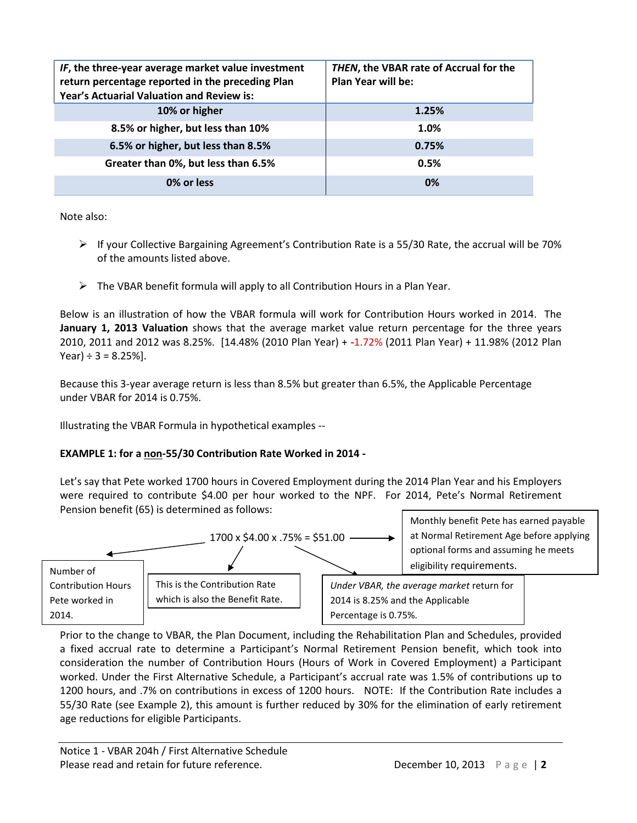| IF, the three-year average market value investment<br>return percentage reported in the preceding Plan<br>Year's Actuarial Valuation and Review is: | THEN, the VBAR rate of Accrual for the<br><b>Plan Year will be:</b> |
|-----------------------------------------------------------------------------------------------------------------------------------------------------|---------------------------------------------------------------------|
| 10% or higher                                                                                                                                       | 1.25%                                                               |
| 8.5% or higher, but less than 10%                                                                                                                   | 1.0%                                                                |
| 6.5% or higher, but less than 8.5%                                                                                                                  | 0.75%                                                               |
| Greater than 0%, but less than 6.5%                                                                                                                 | 0.5%                                                                |
| 0% or less                                                                                                                                          | 0%                                                                  |

Note also:

- $\triangleright$  If your Collective Bargaining Agreement's Contribution Rate is a 55/30 Rate, the accrual will be 70% of the amounts listed above.
- $\triangleright$  The VBAR benefit formula will apply to all Contribution Hours in a Plan Year.

Below is an illustration of how the VBAR formula will work for Contribution Hours worked in 2014. The **January 1, 2013 Valuation** shows that the average market value return percentage for the three years 2010, 2011 and 2012 was 8.25%. [14.48% (2010 Plan Year) + **-**1.72% (2011 Plan Year) + 11.98% (2012 Plan Year)  $\div$  3 = 8.25%].

Because this 3-year average return is less than 8.5% but greater than 6.5%, the Applicable Percentage under VBAR for 2014 is 0.75%.

Illustrating the VBAR Formula in hypothetical examples --

# **EXAMPLE 1: for a non-55/30 Contribution Rate Worked in 2014 -**

Let's say that Pete worked 1700 hours in Covered Employment during the 2014 Plan Year and his Employers were required to contribute \$4.00 per hour worked to the NPF. For 2014, Pete's Normal Retirement Pension benefit (65) is determined as follows:



Prior to the change to VBAR, the Plan Document, including the Rehabilitation Plan and Schedules, provided a fixed accrual rate to determine a Participant's Normal Retirement Pension benefit, which took into consideration the number of Contribution Hours (Hours of Work in Covered Employment) a Participant worked. Under the First Alternative Schedule, a Participant's accrual rate was 1.5% of contributions up to 1200 hours, and .7% on contributions in excess of 1200 hours. NOTE: If the Contribution Rate includes a 55/30 Rate (see Example 2), this amount is further reduced by 30% for the elimination of early retirement age reductions for eligible Participants.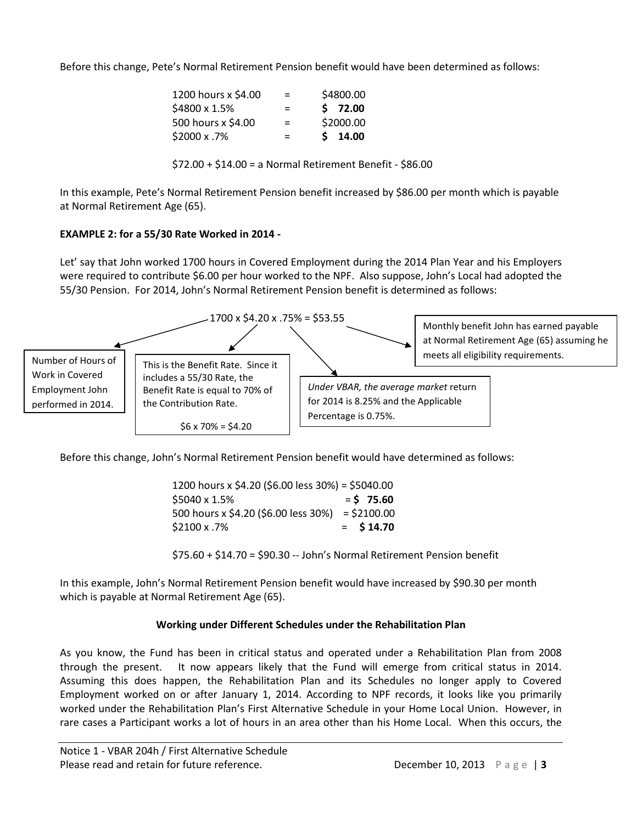Before this change, Pete's Normal Retirement Pension benefit would have been determined as follows:

| 1200 hours x \$4.00 | $=$ | \$4800.00 |
|---------------------|-----|-----------|
| \$4800 x 1.5%       | $=$ | \$72.00   |
| 500 hours x \$4.00  | $=$ | \$2000.00 |
| \$2000 x .7%        | $=$ | $S$ 14.00 |

\$72.00 + \$14.00 = a Normal Retirement Benefit - \$86.00

In this example, Pete's Normal Retirement Pension benefit increased by \$86.00 per month which is payable at Normal Retirement Age (65).

## **EXAMPLE 2: for a 55/30 Rate Worked in 2014 -**

Let' say that John worked 1700 hours in Covered Employment during the 2014 Plan Year and his Employers were required to contribute \$6.00 per hour worked to the NPF. Also suppose, John's Local had adopted the 55/30 Pension. For 2014, John's Normal Retirement Pension benefit is determined as follows:



Before this change, John's Normal Retirement Pension benefit would have determined as follows:

| 1200 hours x \$4.20 (\$6.00 less 30%) = \$5040.00 |              |
|---------------------------------------------------|--------------|
| \$5040 x 1.5%                                     | $=$ \$ 75.60 |
| 500 hours x \$4.20 (\$6.00 less 30%) = \$2100.00  |              |
| \$2100 x .7%                                      | $=$ \$14.70  |

\$75.60 + \$14.70 = \$90.30 -- John's Normal Retirement Pension benefit

In this example, John's Normal Retirement Pension benefit would have increased by \$90.30 per month which is payable at Normal Retirement Age (65).

### **Working under Different Schedules under the Rehabilitation Plan**

As you know, the Fund has been in critical status and operated under a Rehabilitation Plan from 2008 through the present. It now appears likely that the Fund will emerge from critical status in 2014. Assuming this does happen, the Rehabilitation Plan and its Schedules no longer apply to Covered Employment worked on or after January 1, 2014. According to NPF records, it looks like you primarily worked under the Rehabilitation Plan's First Alternative Schedule in your Home Local Union. However, in rare cases a Participant works a lot of hours in an area other than his Home Local. When this occurs, the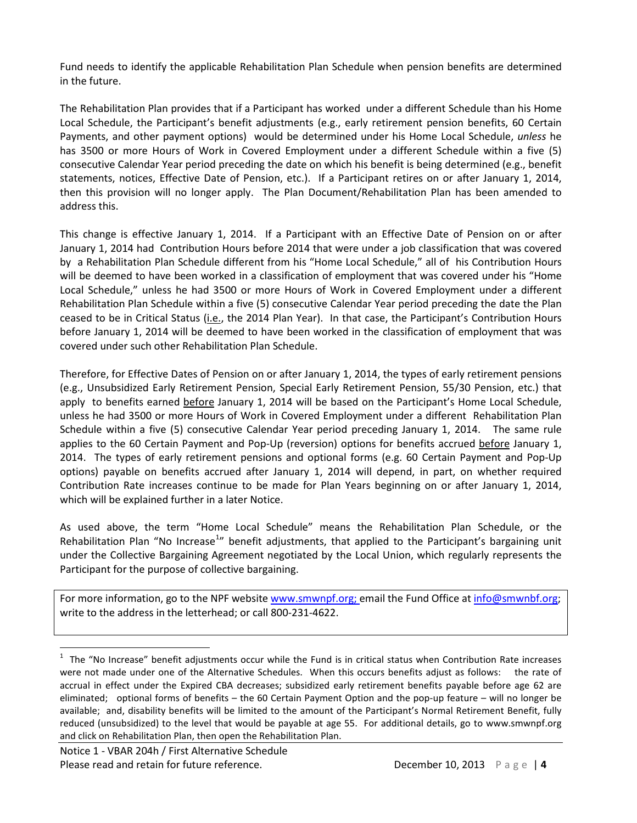Fund needs to identify the applicable Rehabilitation Plan Schedule when pension benefits are determined in the future.

The Rehabilitation Plan provides that if a Participant has worked under a different Schedule than his Home Local Schedule, the Participant's benefit adjustments (e.g., early retirement pension benefits, 60 Certain Payments, and other payment options) would be determined under his Home Local Schedule, *unless* he has 3500 or more Hours of Work in Covered Employment under a different Schedule within a five (5) consecutive Calendar Year period preceding the date on which his benefit is being determined (e.g., benefit statements, notices, Effective Date of Pension, etc.). If a Participant retires on or after January 1, 2014, then this provision will no longer apply. The Plan Document/Rehabilitation Plan has been amended to address this.

This change is effective January 1, 2014. If a Participant with an Effective Date of Pension on or after January 1, 2014 had Contribution Hours before 2014 that were under a job classification that was covered by a Rehabilitation Plan Schedule different from his "Home Local Schedule," all of his Contribution Hours will be deemed to have been worked in a classification of employment that was covered under his "Home Local Schedule," unless he had 3500 or more Hours of Work in Covered Employment under a different Rehabilitation Plan Schedule within a five (5) consecutive Calendar Year period preceding the date the Plan ceased to be in Critical Status (i.e., the 2014 Plan Year). In that case, the Participant's Contribution Hours before January 1, 2014 will be deemed to have been worked in the classification of employment that was covered under such other Rehabilitation Plan Schedule.

Therefore, for Effective Dates of Pension on or after January 1, 2014, the types of early retirement pensions (e.g., Unsubsidized Early Retirement Pension, Special Early Retirement Pension, 55/30 Pension, etc.) that apply to benefits earned before January 1, 2014 will be based on the Participant's Home Local Schedule, unless he had 3500 or more Hours of Work in Covered Employment under a different Rehabilitation Plan Schedule within a five (5) consecutive Calendar Year period preceding January 1, 2014. The same rule applies to the 60 Certain Payment and Pop-Up (reversion) options for benefits accrued before January 1, 2014. The types of early retirement pensions and optional forms (e.g. 60 Certain Payment and Pop-Up options) payable on benefits accrued after January 1, 2014 will depend, in part, on whether required Contribution Rate increases continue to be made for Plan Years beginning on or after January 1, 2014, which will be explained further in a later Notice.

As used above, the term "Home Local Schedule" means the Rehabilitation Plan Schedule, or the Rehabilitation Plan "No Increase<sup>[1](#page-3-0)</sup>" benefit adjustments, that applied to the Participant's bargaining unit under the Collective Bargaining Agreement negotiated by the Local Union, which regularly represents the Participant for the purpose of collective bargaining.

For more information, go to the NPF website [www.smwnpf.org;](http://www.smwnpf.org/) email the Fund Office a[t info@smwnbf.org;](mailto:info@smwnbf.org) write to the address in the letterhead; or call 800-231-4622.

<span id="page-3-0"></span> $\frac{1}{1}$  $1$  The "No Increase" benefit adjustments occur while the Fund is in critical status when Contribution Rate increases were not made under one of the Alternative Schedules. When this occurs benefits adjust as follows: the rate of accrual in effect under the Expired CBA decreases; subsidized early retirement benefits payable before age 62 are eliminated; optional forms of benefits – the 60 Certain Payment Option and the pop-up feature – will no longer be available; and, disability benefits will be limited to the amount of the Participant's Normal Retirement Benefit, fully reduced (unsubsidized) to the level that would be payable at age 55. For additional details, go to [www.smwnpf.org](http://www.smwnpf.org/) and click on Rehabilitation Plan, then open the Rehabilitation Plan.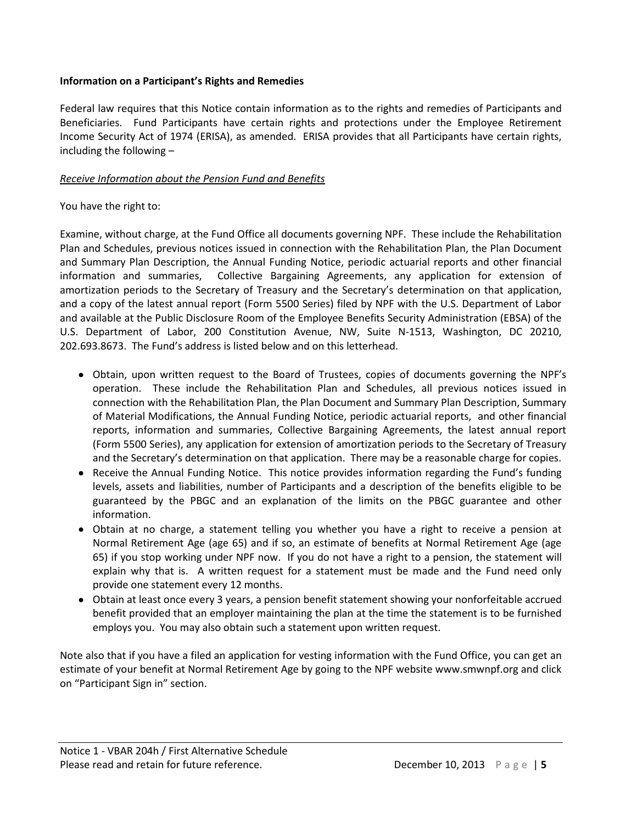#### **Information on a Participant's Rights and Remedies**

Federal law requires that this Notice contain information as to the rights and remedies of Participants and Beneficiaries. Fund Participants have certain rights and protections under the Employee Retirement Income Security Act of 1974 (ERISA), as amended. ERISA provides that all Participants have certain rights, including the following –

### *Receive Information about the Pension Fund and Benefits*

#### You have the right to:

Examine, without charge, at the Fund Office all documents governing NPF. These include the Rehabilitation Plan and Schedules, previous notices issued in connection with the Rehabilitation Plan, the Plan Document and Summary Plan Description, the Annual Funding Notice, periodic actuarial reports and other financial information and summaries, Collective Bargaining Agreements, any application for extension of amortization periods to the Secretary of Treasury and the Secretary's determination on that application, and a copy of the latest annual report (Form 5500 Series) filed by NPF with the U.S. Department of Labor and available at the Public Disclosure Room of the Employee Benefits Security Administration (EBSA) of the U.S. Department of Labor, 200 Constitution Avenue, NW, Suite N-1513, Washington, DC 20210, 202.693.8673.The Fund's address is listed below and on this letterhead.

- Obtain, upon written request to the Board of Trustees, copies of documents governing the NPF's operation. These include the Rehabilitation Plan and Schedules, all previous notices issued in connection with the Rehabilitation Plan, the Plan Document and Summary Plan Description, Summary of Material Modifications, the Annual Funding Notice, periodic actuarial reports, and other financial reports, information and summaries, Collective Bargaining Agreements, the latest annual report (Form 5500 Series), any application for extension of amortization periods to the Secretary of Treasury and the Secretary's determination on that application. There may be a reasonable charge for copies.
- Receive the Annual Funding Notice. This notice provides information regarding the Fund's funding levels, assets and liabilities, number of Participants and a description of the benefits eligible to be guaranteed by the PBGC and an explanation of the limits on the PBGC guarantee and other information.
- Obtain at no charge, a statement telling you whether you have a right to receive a pension at Normal Retirement Age (age 65) and if so, an estimate of benefits at Normal Retirement Age (age 65) if you stop working under NPF now. If you do not have a right to a pension, the statement will explain why that is. A written request for a statement must be made and the Fund need only provide one statement every 12 months.
- Obtain at least once every 3 years, a pension benefit statement showing your nonforfeitable accrued benefit provided that an employer maintaining the plan at the time the statement is to be furnished employs you. You may also obtain such a statement upon written request.

Note also that if you have a filed an application for vesting information with the Fund Office, you can get an estimate of your benefit at Normal Retirement Age by going to the NPF website www.smwnpf.org and click on "Participant Sign in" section.